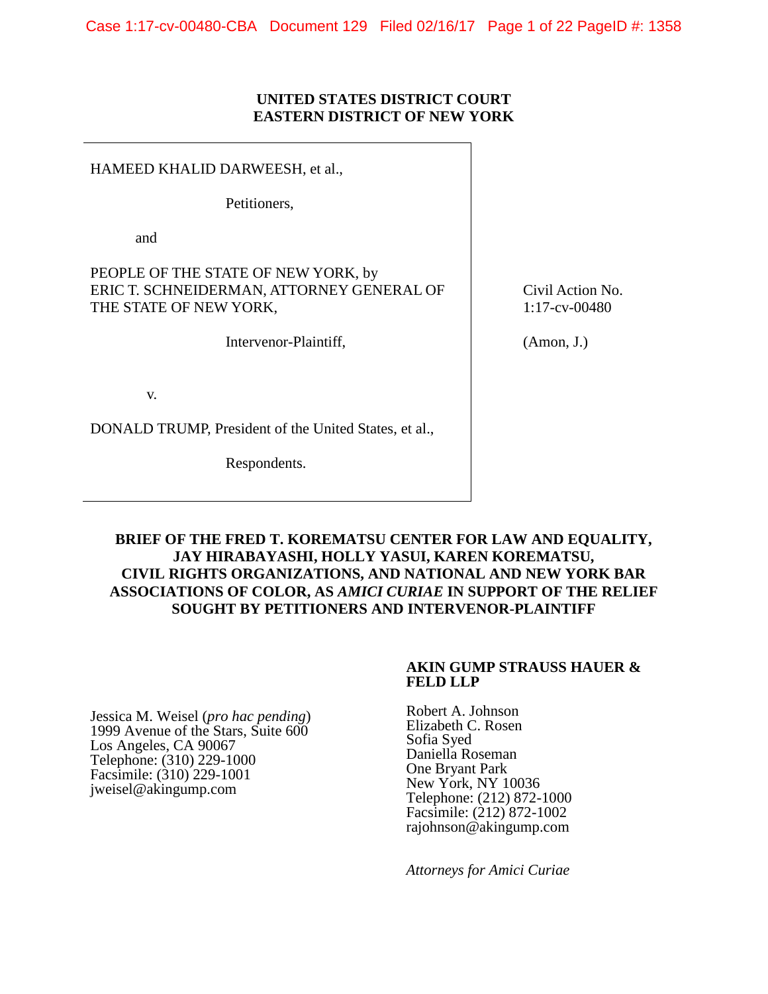### **UNITED STATES DISTRICT COURT EASTERN DISTRICT OF NEW YORK**

HAMEED KHALID DARWEESH, et al.,

Petitioners,

and

PEOPLE OF THE STATE OF NEW YORK, by ERIC T. SCHNEIDERMAN, ATTORNEY GENERAL OF THE STATE OF NEW YORK,

Intervenor-Plaintiff,

v.

DONALD TRUMP, President of the United States, et al.,

Respondents.

Civil Action No. 1:17-cv-00480

(Amon, J.)

**BRIEF OF THE FRED T. KOREMATSU CENTER FOR LAW AND EQUALITY, JAY HIRABAYASHI, HOLLY YASUI, KAREN KOREMATSU, CIVIL RIGHTS ORGANIZATIONS, AND NATIONAL AND NEW YORK BAR ASSOCIATIONS OF COLOR, AS** *AMICI CURIAE* **IN SUPPORT OF THE RELIEF SOUGHT BY PETITIONERS AND INTERVENOR-PLAINTIFF**

#### **AKIN GUMP STRAUSS HAUER & FELD LLP**

Jessica M. Weisel (*pro hac pending*) 1999 Avenue of the Stars, Suite 600 Los Angeles, CA 90067 Telephone: (310) 229-1000 Facsimile: (310) 229-1001 jweisel@akingump.com

Robert A. Johnson Elizabeth C. Rosen Sofia Syed Daniella Roseman One Bryant Park New York, NY 10036 Telephone: (212) 872-1000 Facsimile: (212) 872-1002 rajohnson@akingump.com

*Attorneys for Amici Curiae*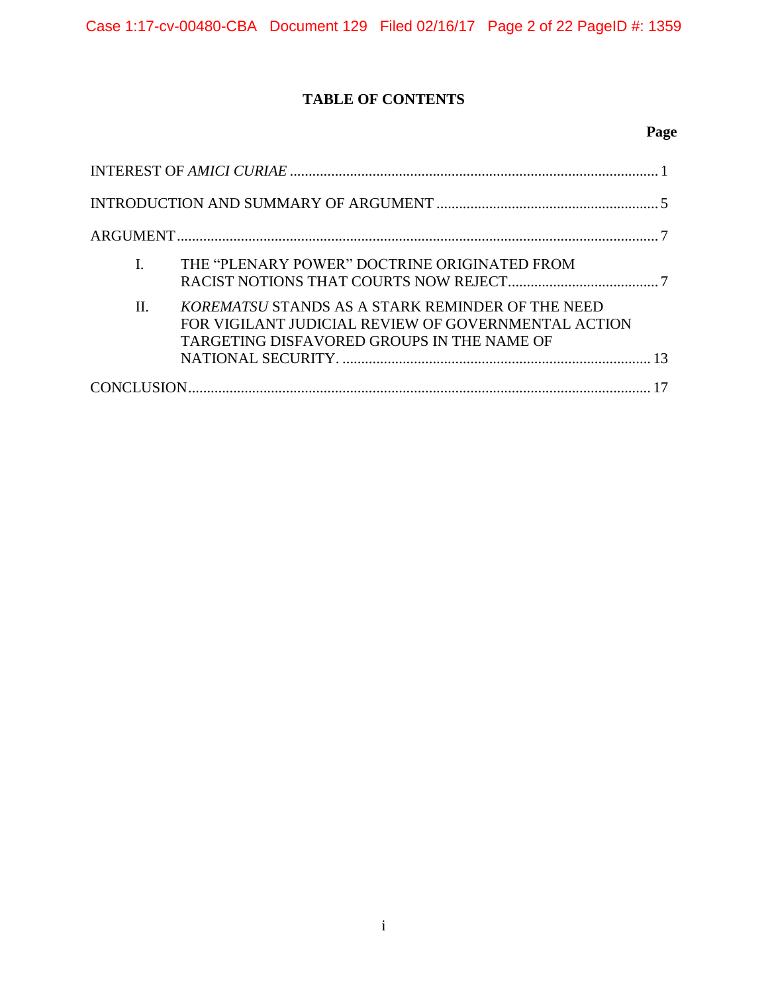## **TABLE OF CONTENTS**

## **Page**

| THE "PLENARY POWER" DOCTRINE ORIGINATED FROM                                                                                                                |
|-------------------------------------------------------------------------------------------------------------------------------------------------------------|
| H.<br>KOREMATSU STANDS AS A STARK REMINDER OF THE NEED<br>FOR VIGILANT JUDICIAL REVIEW OF GOVERNMENTAL ACTION<br>TARGETING DISFAVORED GROUPS IN THE NAME OF |
|                                                                                                                                                             |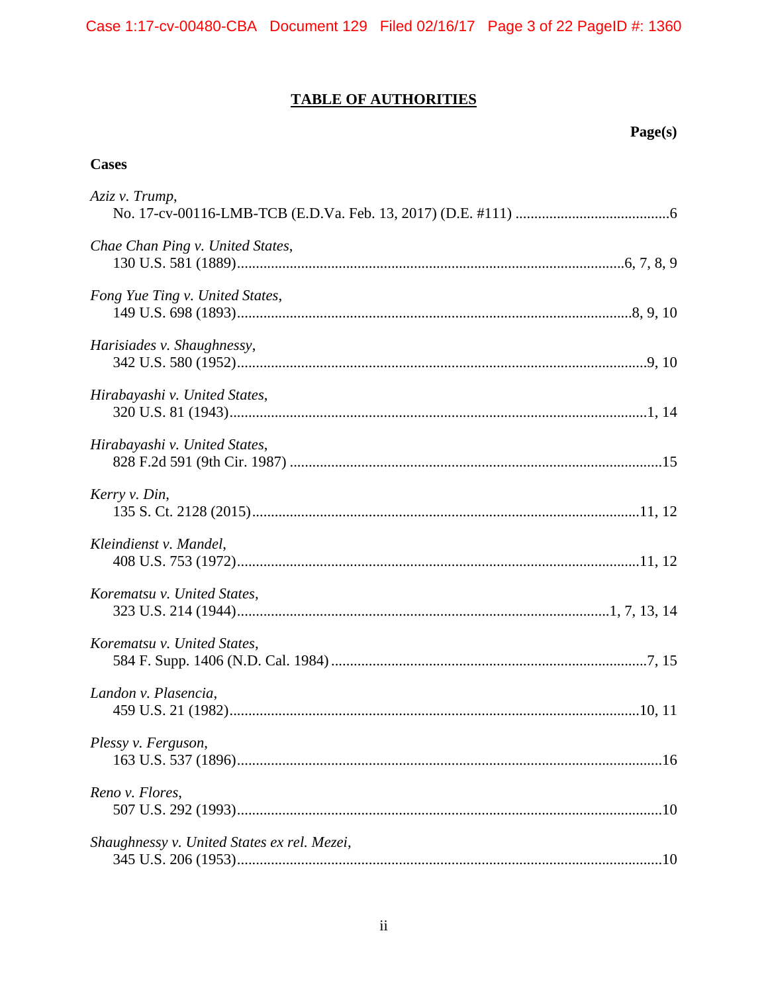# **TABLE OF AUTHORITIES**

## Page(s)

## **Cases**

| Aziz v. Trump,                              |
|---------------------------------------------|
| Chae Chan Ping v. United States,            |
| Fong Yue Ting v. United States,             |
| Harisiades v. Shaughnessy,                  |
| Hirabayashi v. United States,               |
| Hirabayashi v. United States,               |
| Kerry v. Din,                               |
| Kleindienst v. Mandel,                      |
| Korematsu v. United States,                 |
| Korematsu v. United States,                 |
| Landon v. Plasencia,                        |
| Plessy v. Ferguson,                         |
| Reno v. Flores,                             |
| Shaughnessy v. United States ex rel. Mezei, |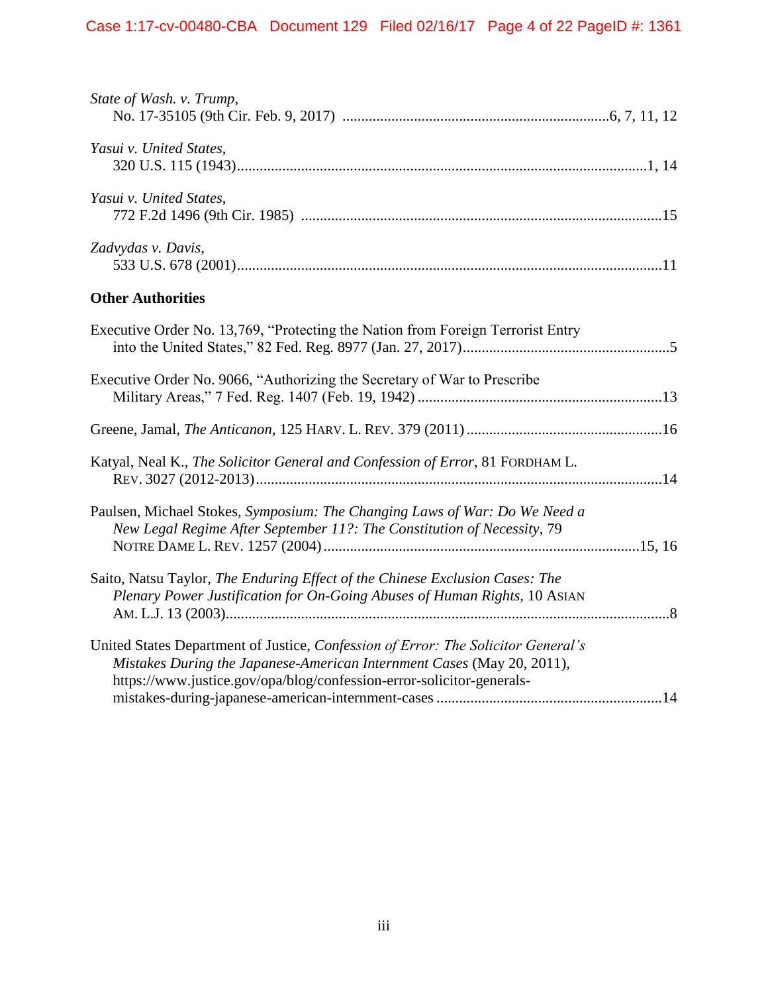| State of Wash. v. Trump,                                                                                                                                                                                                             |  |
|--------------------------------------------------------------------------------------------------------------------------------------------------------------------------------------------------------------------------------------|--|
| Yasui v. United States,                                                                                                                                                                                                              |  |
| Yasui v. United States,                                                                                                                                                                                                              |  |
| Zadvydas v. Davis,                                                                                                                                                                                                                   |  |
| <b>Other Authorities</b>                                                                                                                                                                                                             |  |
| Executive Order No. 13,769, "Protecting the Nation from Foreign Terrorist Entry                                                                                                                                                      |  |
| Executive Order No. 9066, "Authorizing the Secretary of War to Prescribe                                                                                                                                                             |  |
|                                                                                                                                                                                                                                      |  |
| Katyal, Neal K., The Solicitor General and Confession of Error, 81 FORDHAM L.                                                                                                                                                        |  |
| Paulsen, Michael Stokes, Symposium: The Changing Laws of War: Do We Need a<br>New Legal Regime After September 11?: The Constitution of Necessity, 79                                                                                |  |
| Saito, Natsu Taylor, The Enduring Effect of the Chinese Exclusion Cases: The<br>Plenary Power Justification for On-Going Abuses of Human Rights, 10 ASIAN                                                                            |  |
| United States Department of Justice, Confession of Error: The Solicitor General's<br>Mistakes During the Japanese-American Internment Cases (May 20, 2011),<br>https://www.justice.gov/opa/blog/confession-error-solicitor-generals- |  |
|                                                                                                                                                                                                                                      |  |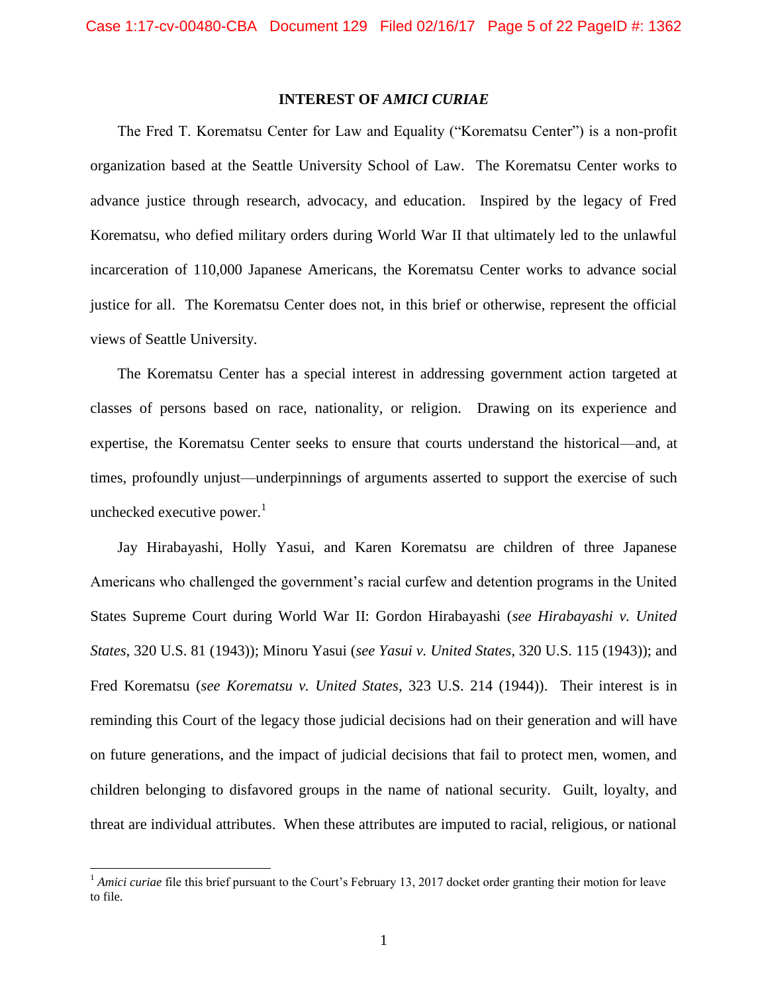### **INTEREST OF** *AMICI CURIAE*

<span id="page-4-0"></span>The Fred T. Korematsu Center for Law and Equality ("Korematsu Center") is a non-profit organization based at the Seattle University School of Law. The Korematsu Center works to advance justice through research, advocacy, and education. Inspired by the legacy of Fred Korematsu, who defied military orders during World War II that ultimately led to the unlawful incarceration of 110,000 Japanese Americans, the Korematsu Center works to advance social justice for all. The Korematsu Center does not, in this brief or otherwise, represent the official views of Seattle University.

The Korematsu Center has a special interest in addressing government action targeted at classes of persons based on race, nationality, or religion. Drawing on its experience and expertise, the Korematsu Center seeks to ensure that courts understand the historical—and, at times, profoundly unjust—underpinnings of arguments asserted to support the exercise of such unchecked executive power. $<sup>1</sup>$ </sup>

<span id="page-4-2"></span><span id="page-4-1"></span>Jay Hirabayashi, Holly Yasui, and Karen Korematsu are children of three Japanese Americans who challenged the government's racial curfew and detention programs in the United States Supreme Court during World War II: Gordon Hirabayashi (*see Hirabayashi v. United States*, 320 U.S. 81 (1943)); Minoru Yasui (*see Yasui v. United States*, 320 U.S. 115 (1943)); and Fred Korematsu (*see Korematsu v. United States*, 323 U.S. 214 (1944)). Their interest is in reminding this Court of the legacy those judicial decisions had on their generation and will have on future generations, and the impact of judicial decisions that fail to protect men, women, and children belonging to disfavored groups in the name of national security. Guilt, loyalty, and threat are individual attributes. When these attributes are imputed to racial, religious, or national

 $\overline{a}$ 

<sup>&</sup>lt;sup>1</sup> *Amici curiae* file this brief pursuant to the Court's February 13, 2017 docket order granting their motion for leave to file.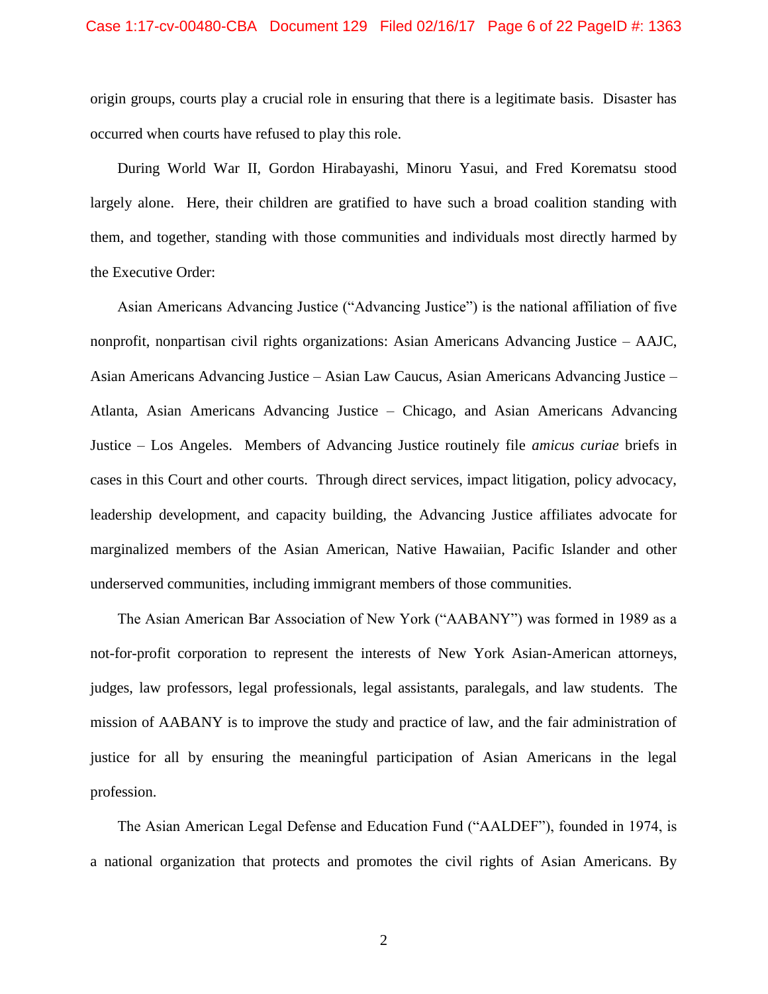origin groups, courts play a crucial role in ensuring that there is a legitimate basis. Disaster has occurred when courts have refused to play this role.

During World War II, Gordon Hirabayashi, Minoru Yasui, and Fred Korematsu stood largely alone. Here, their children are gratified to have such a broad coalition standing with them, and together, standing with those communities and individuals most directly harmed by the Executive Order:

Asian Americans Advancing Justice ("Advancing Justice") is the national affiliation of five nonprofit, nonpartisan civil rights organizations: Asian Americans Advancing Justice – AAJC, Asian Americans Advancing Justice – Asian Law Caucus, Asian Americans Advancing Justice – Atlanta, Asian Americans Advancing Justice – Chicago, and Asian Americans Advancing Justice – Los Angeles. Members of Advancing Justice routinely file *amicus curiae* briefs in cases in this Court and other courts. Through direct services, impact litigation, policy advocacy, leadership development, and capacity building, the Advancing Justice affiliates advocate for marginalized members of the Asian American, Native Hawaiian, Pacific Islander and other underserved communities, including immigrant members of those communities.

The Asian American Bar Association of New York ("AABANY") was formed in 1989 as a not-for-profit corporation to represent the interests of New York Asian-American attorneys, judges, law professors, legal professionals, legal assistants, paralegals, and law students. The mission of AABANY is to improve the study and practice of law, and the fair administration of justice for all by ensuring the meaningful participation of Asian Americans in the legal profession.

The Asian American Legal Defense and Education Fund ("AALDEF"), founded in 1974, is a national organization that protects and promotes the civil rights of Asian Americans. By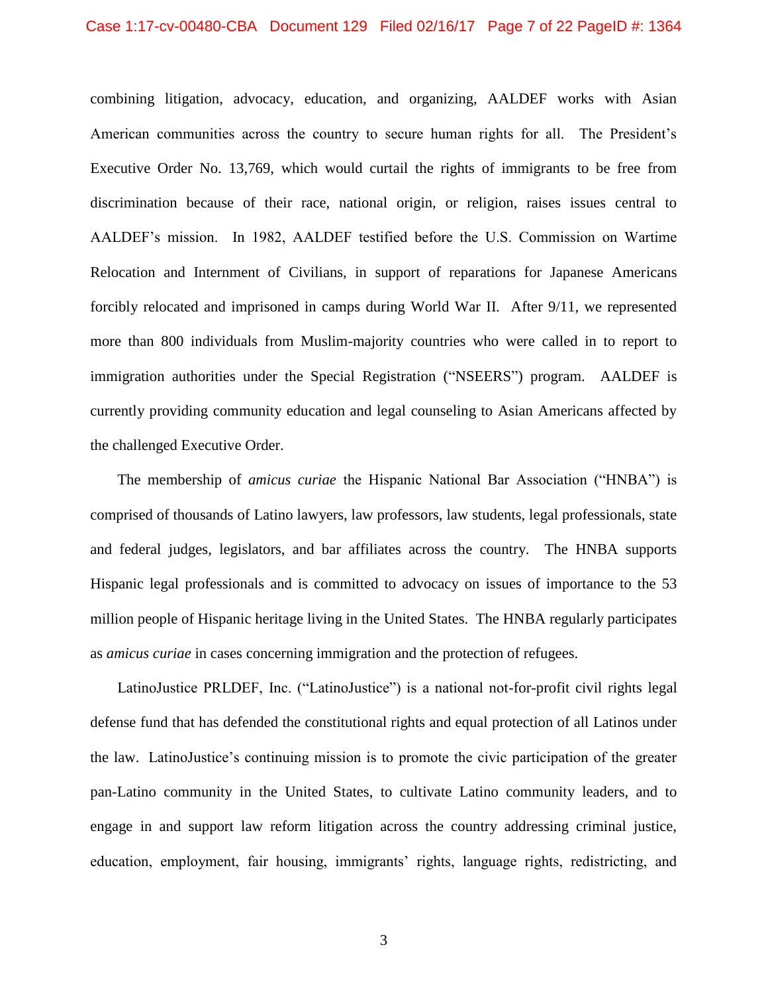#### Case 1:17-cv-00480-CBA Document 129 Filed 02/16/17 Page 7 of 22 PageID #: 1364

combining litigation, advocacy, education, and organizing, AALDEF works with Asian American communities across the country to secure human rights for all. The President's Executive Order No. 13,769, which would curtail the rights of immigrants to be free from discrimination because of their race, national origin, or religion, raises issues central to AALDEF's mission. In 1982, AALDEF testified before the U.S. Commission on Wartime Relocation and Internment of Civilians, in support of reparations for Japanese Americans forcibly relocated and imprisoned in camps during World War II. After 9/11, we represented more than 800 individuals from Muslim-majority countries who were called in to report to immigration authorities under the Special Registration ("NSEERS") program. AALDEF is currently providing community education and legal counseling to Asian Americans affected by the challenged Executive Order.

The membership of *amicus curiae* the Hispanic National Bar Association ("HNBA") is comprised of thousands of Latino lawyers, law professors, law students, legal professionals, state and federal judges, legislators, and bar affiliates across the country. The HNBA supports Hispanic legal professionals and is committed to advocacy on issues of importance to the 53 million people of Hispanic heritage living in the United States. The HNBA regularly participates as *amicus curiae* in cases concerning immigration and the protection of refugees.

LatinoJustice PRLDEF, Inc. ("LatinoJustice") is a national not-for-profit civil rights legal defense fund that has defended the constitutional rights and equal protection of all Latinos under the law. LatinoJustice's continuing mission is to promote the civic participation of the greater pan-Latino community in the United States, to cultivate Latino community leaders, and to engage in and support law reform litigation across the country addressing criminal justice, education, employment, fair housing, immigrants' rights, language rights, redistricting, and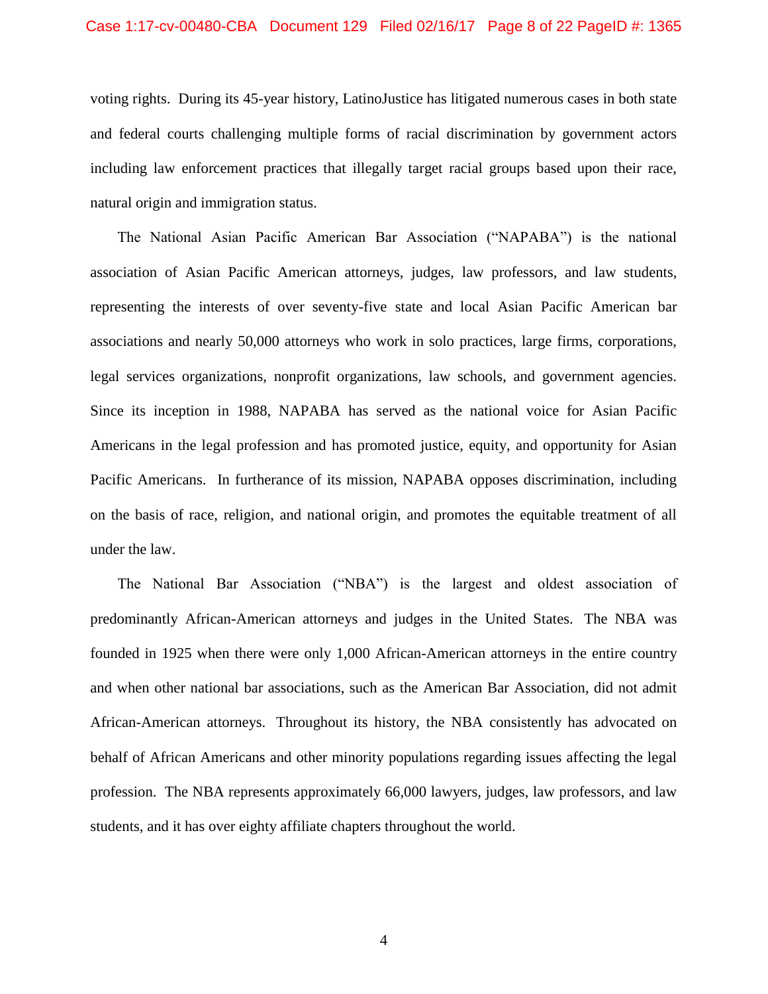#### Case 1:17-cv-00480-CBA Document 129 Filed 02/16/17 Page 8 of 22 PageID #: 1365

voting rights. During its 45-year history, LatinoJustice has litigated numerous cases in both state and federal courts challenging multiple forms of racial discrimination by government actors including law enforcement practices that illegally target racial groups based upon their race, natural origin and immigration status.

The National Asian Pacific American Bar Association ("NAPABA") is the national association of Asian Pacific American attorneys, judges, law professors, and law students, representing the interests of over seventy-five state and local Asian Pacific American bar associations and nearly 50,000 attorneys who work in solo practices, large firms, corporations, legal services organizations, nonprofit organizations, law schools, and government agencies. Since its inception in 1988, NAPABA has served as the national voice for Asian Pacific Americans in the legal profession and has promoted justice, equity, and opportunity for Asian Pacific Americans. In furtherance of its mission, NAPABA opposes discrimination, including on the basis of race, religion, and national origin, and promotes the equitable treatment of all under the law.

The National Bar Association ("NBA") is the largest and oldest association of predominantly African-American attorneys and judges in the United States. The NBA was founded in 1925 when there were only 1,000 African-American attorneys in the entire country and when other national bar associations, such as the American Bar Association, did not admit African-American attorneys. Throughout its history, the NBA consistently has advocated on behalf of African Americans and other minority populations regarding issues affecting the legal profession. The NBA represents approximately 66,000 lawyers, judges, law professors, and law students, and it has over eighty affiliate chapters throughout the world.

4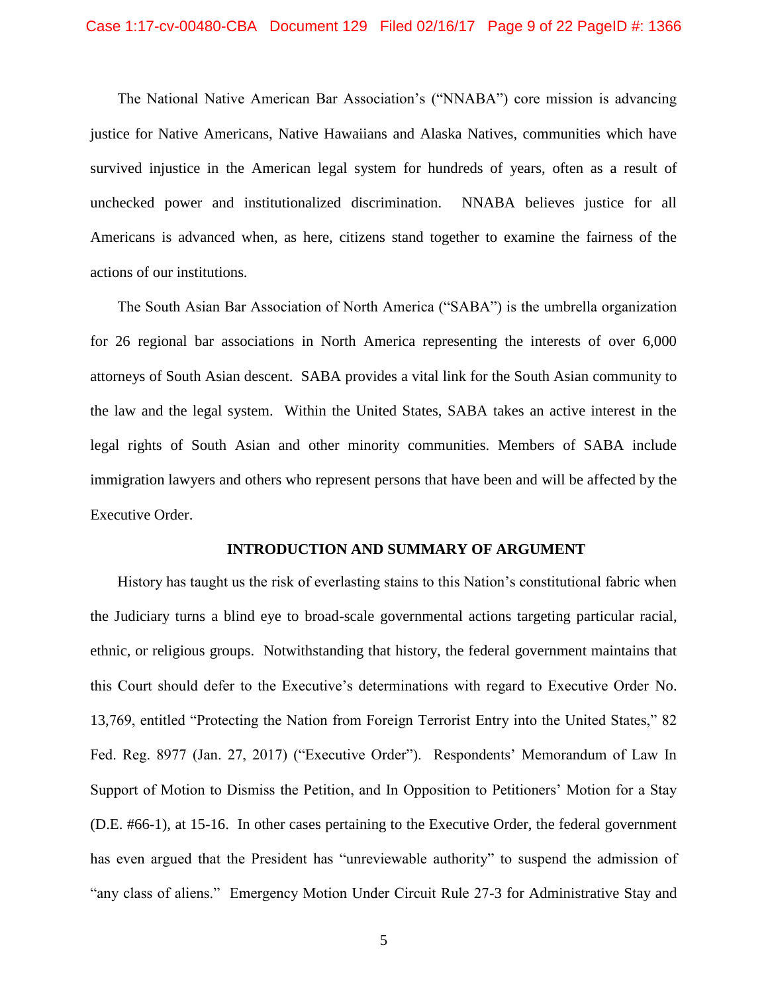#### Case 1:17-cv-00480-CBA Document 129 Filed 02/16/17 Page 9 of 22 PageID #: 1366

The National Native American Bar Association's ("NNABA") core mission is advancing justice for Native Americans, Native Hawaiians and Alaska Natives, communities which have survived injustice in the American legal system for hundreds of years, often as a result of unchecked power and institutionalized discrimination. NNABA believes justice for all Americans is advanced when, as here, citizens stand together to examine the fairness of the actions of our institutions.

The South Asian Bar Association of North America ("SABA") is the umbrella organization for 26 regional bar associations in North America representing the interests of over 6,000 attorneys of South Asian descent. SABA provides a vital link for the South Asian community to the law and the legal system. Within the United States, SABA takes an active interest in the legal rights of South Asian and other minority communities. Members of SABA include immigration lawyers and others who represent persons that have been and will be affected by the Executive Order.

#### <span id="page-8-1"></span>**INTRODUCTION AND SUMMARY OF ARGUMENT**

<span id="page-8-0"></span>History has taught us the risk of everlasting stains to this Nation's constitutional fabric when the Judiciary turns a blind eye to broad-scale governmental actions targeting particular racial, ethnic, or religious groups. Notwithstanding that history, the federal government maintains that this Court should defer to the Executive's determinations with regard to Executive Order No. 13,769, entitled "Protecting the Nation from Foreign Terrorist Entry into the United States," 82 Fed. Reg. 8977 (Jan. 27, 2017) ("Executive Order"). Respondents' Memorandum of Law In Support of Motion to Dismiss the Petition, and In Opposition to Petitioners' Motion for a Stay (D.E. #66-1), at 15-16. In other cases pertaining to the Executive Order, the federal government has even argued that the President has "unreviewable authority" to suspend the admission of "any class of aliens." Emergency Motion Under Circuit Rule 27-3 for Administrative Stay and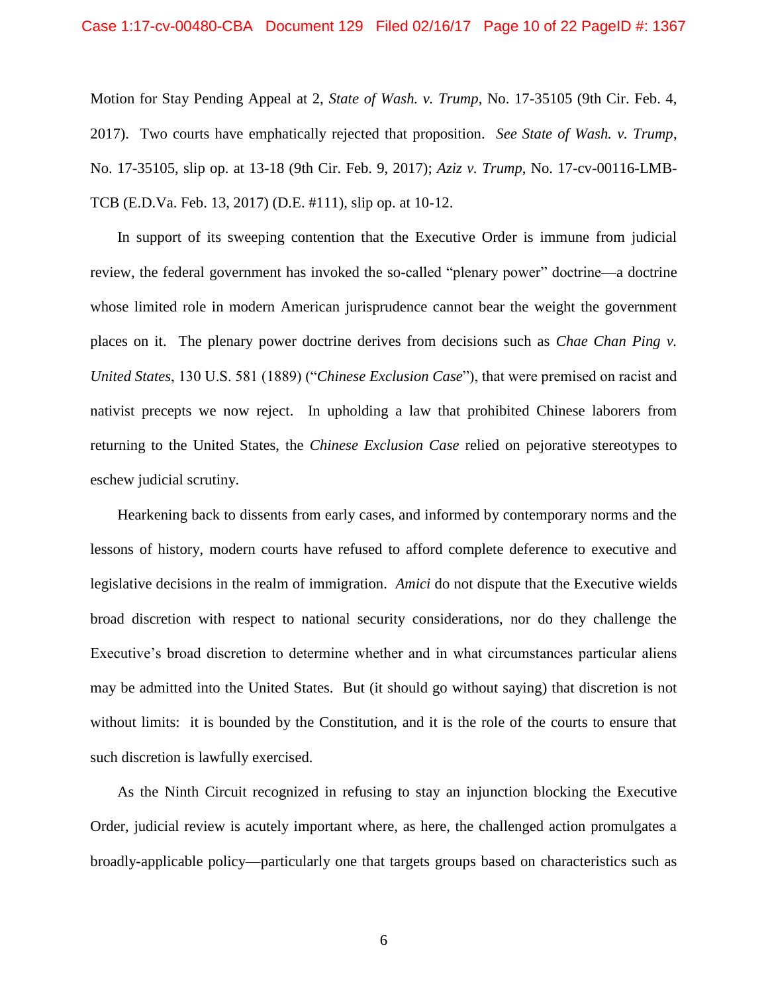#### Case 1:17-cv-00480-CBA Document 129 Filed 02/16/17 Page 10 of 22 PageID #: 1367

Motion for Stay Pending Appeal at 2, *State of Wash. v. Trump*, No. 17-35105 (9th Cir. Feb. 4, 2017). Two courts have emphatically rejected that proposition. *See State of Wash. v. Trump*, No. 17-35105, slip op. at 13-18 (9th Cir. Feb. 9, 2017); *Aziz v. Trump*, No. 17-cv-00116-LMB-TCB (E.D.Va. Feb. 13, 2017) (D.E. #111), slip op. at 10-12.

In support of its sweeping contention that the Executive Order is immune from judicial review, the federal government has invoked the so-called "plenary power" doctrine—a doctrine whose limited role in modern American jurisprudence cannot bear the weight the government places on it. The plenary power doctrine derives from decisions such as *Chae Chan Ping v. United States*, 130 U.S. 581 (1889) ("*Chinese Exclusion Case*"), that were premised on racist and nativist precepts we now reject. In upholding a law that prohibited Chinese laborers from returning to the United States, the *Chinese Exclusion Case* relied on pejorative stereotypes to eschew judicial scrutiny.

Hearkening back to dissents from early cases, and informed by contemporary norms and the lessons of history, modern courts have refused to afford complete deference to executive and legislative decisions in the realm of immigration. *Amici* do not dispute that the Executive wields broad discretion with respect to national security considerations, nor do they challenge the Executive's broad discretion to determine whether and in what circumstances particular aliens may be admitted into the United States. But (it should go without saying) that discretion is not without limits: it is bounded by the Constitution, and it is the role of the courts to ensure that such discretion is lawfully exercised.

As the Ninth Circuit recognized in refusing to stay an injunction blocking the Executive Order, judicial review is acutely important where, as here, the challenged action promulgates a broadly-applicable policy—particularly one that targets groups based on characteristics such as

6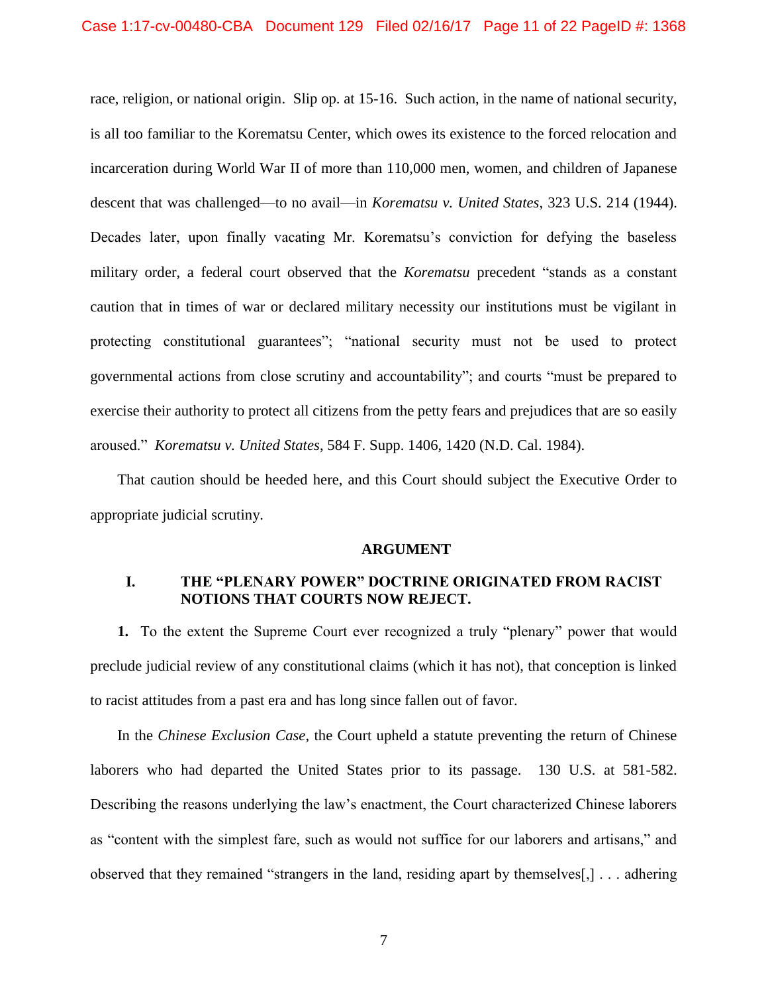#### Case 1:17-cv-00480-CBA Document 129 Filed 02/16/17 Page 11 of 22 PageID #: 1368

race, religion, or national origin. Slip op. at 15-16. Such action, in the name of national security, is all too familiar to the Korematsu Center, which owes its existence to the forced relocation and incarceration during World War II of more than 110,000 men, women, and children of Japanese descent that was challenged—to no avail—in *Korematsu v. United States*, 323 U.S. 214 (1944). Decades later, upon finally vacating Mr. Korematsu's conviction for defying the baseless military order, a federal court observed that the *Korematsu* precedent "stands as a constant caution that in times of war or declared military necessity our institutions must be vigilant in protecting constitutional guarantees"; "national security must not be used to protect governmental actions from close scrutiny and accountability"; and courts "must be prepared to exercise their authority to protect all citizens from the petty fears and prejudices that are so easily aroused." *Korematsu v. United States*, 584 F. Supp. 1406, 1420 (N.D. Cal. 1984).

That caution should be heeded here, and this Court should subject the Executive Order to appropriate judicial scrutiny.

#### **ARGUMENT**

### <span id="page-10-1"></span><span id="page-10-0"></span>**I. THE "PLENARY POWER" DOCTRINE ORIGINATED FROM RACIST NOTIONS THAT COURTS NOW REJECT.**

**1.** To the extent the Supreme Court ever recognized a truly "plenary" power that would preclude judicial review of any constitutional claims (which it has not), that conception is linked to racist attitudes from a past era and has long since fallen out of favor.

In the *Chinese Exclusion Case*, the Court upheld a statute preventing the return of Chinese laborers who had departed the United States prior to its passage. 130 U.S. at 581-582. Describing the reasons underlying the law's enactment, the Court characterized Chinese laborers as "content with the simplest fare, such as would not suffice for our laborers and artisans," and observed that they remained "strangers in the land, residing apart by themselves[,] . . . adhering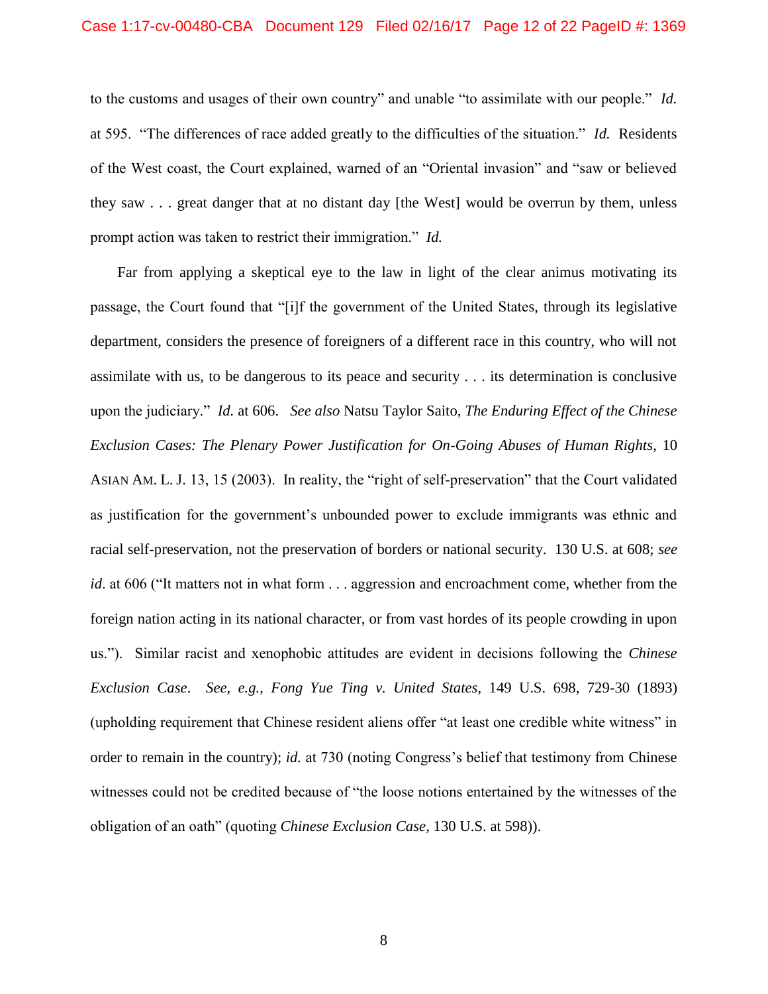#### Case 1:17-cv-00480-CBA Document 129 Filed 02/16/17 Page 12 of 22 PageID #: 1369

to the customs and usages of their own country" and unable "to assimilate with our people." *Id.*  at 595. "The differences of race added greatly to the difficulties of the situation." *Id.* Residents of the West coast, the Court explained, warned of an "Oriental invasion" and "saw or believed they saw . . . great danger that at no distant day [the West] would be overrun by them, unless prompt action was taken to restrict their immigration." *Id.*

<span id="page-11-0"></span>Far from applying a skeptical eye to the law in light of the clear animus motivating its passage, the Court found that "[i]f the government of the United States, through its legislative department, considers the presence of foreigners of a different race in this country, who will not assimilate with us, to be dangerous to its peace and security . . . its determination is conclusive upon the judiciary." *Id.* at 606. *See also* Natsu Taylor Saito, *The Enduring Effect of the Chinese Exclusion Cases: The Plenary Power Justification for On-Going Abuses of Human Rights*, 10 ASIAN AM. L. J. 13, 15 (2003). In reality, the "right of self-preservation" that the Court validated as justification for the government's unbounded power to exclude immigrants was ethnic and racial self-preservation, not the preservation of borders or national security. 130 U.S. at 608; *see id*. at 606 ("It matters not in what form . . . aggression and encroachment come, whether from the foreign nation acting in its national character, or from vast hordes of its people crowding in upon us."). Similar racist and xenophobic attitudes are evident in decisions following the *Chinese Exclusion Case*. *See, e.g.*, *Fong Yue Ting v. United States*, 149 U.S. 698, 729-30 (1893) (upholding requirement that Chinese resident aliens offer "at least one credible white witness" in order to remain in the country); *id.* at 730 (noting Congress's belief that testimony from Chinese witnesses could not be credited because of "the loose notions entertained by the witnesses of the obligation of an oath" (quoting *Chinese Exclusion Case*, 130 U.S. at 598)).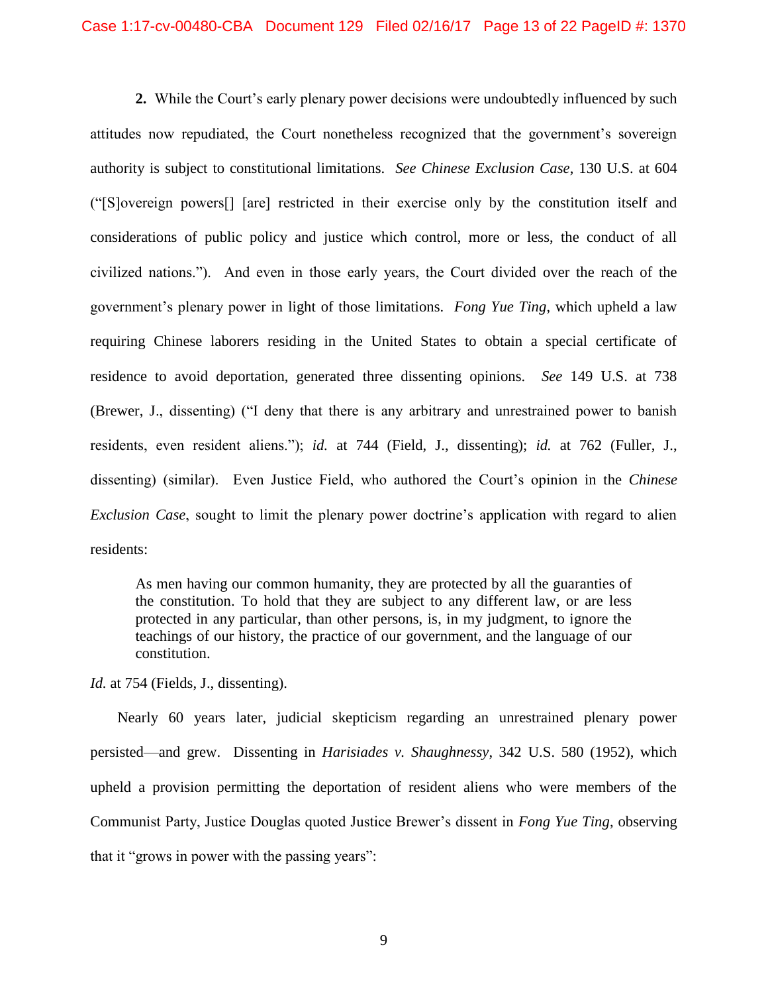**2.** While the Court's early plenary power decisions were undoubtedly influenced by such attitudes now repudiated, the Court nonetheless recognized that the government's sovereign authority is subject to constitutional limitations. *See Chinese Exclusion Case*, 130 U.S. at 604 ("[S]overeign powers[] [are] restricted in their exercise only by the constitution itself and considerations of public policy and justice which control, more or less, the conduct of all civilized nations."). And even in those early years, the Court divided over the reach of the government's plenary power in light of those limitations. *Fong Yue Ting*, which upheld a law requiring Chinese laborers residing in the United States to obtain a special certificate of residence to avoid deportation, generated three dissenting opinions. *See* 149 U.S. at 738 (Brewer, J., dissenting) ("I deny that there is any arbitrary and unrestrained power to banish residents, even resident aliens."); *id.* at 744 (Field, J., dissenting); *id.* at 762 (Fuller, J., dissenting) (similar). Even Justice Field, who authored the Court's opinion in the *Chinese Exclusion Case*, sought to limit the plenary power doctrine's application with regard to alien residents:

As men having our common humanity, they are protected by all the guaranties of the constitution. To hold that they are subject to any different law, or are less protected in any particular, than other persons, is, in my judgment, to ignore the teachings of our history, the practice of our government, and the language of our constitution.

*Id.* at 754 (Fields, J., dissenting).

<span id="page-12-0"></span>Nearly 60 years later, judicial skepticism regarding an unrestrained plenary power persisted—and grew. Dissenting in *Harisiades v. Shaughnessy*, 342 U.S. 580 (1952), which upheld a provision permitting the deportation of resident aliens who were members of the Communist Party, Justice Douglas quoted Justice Brewer's dissent in *Fong Yue Ting*, observing that it "grows in power with the passing years":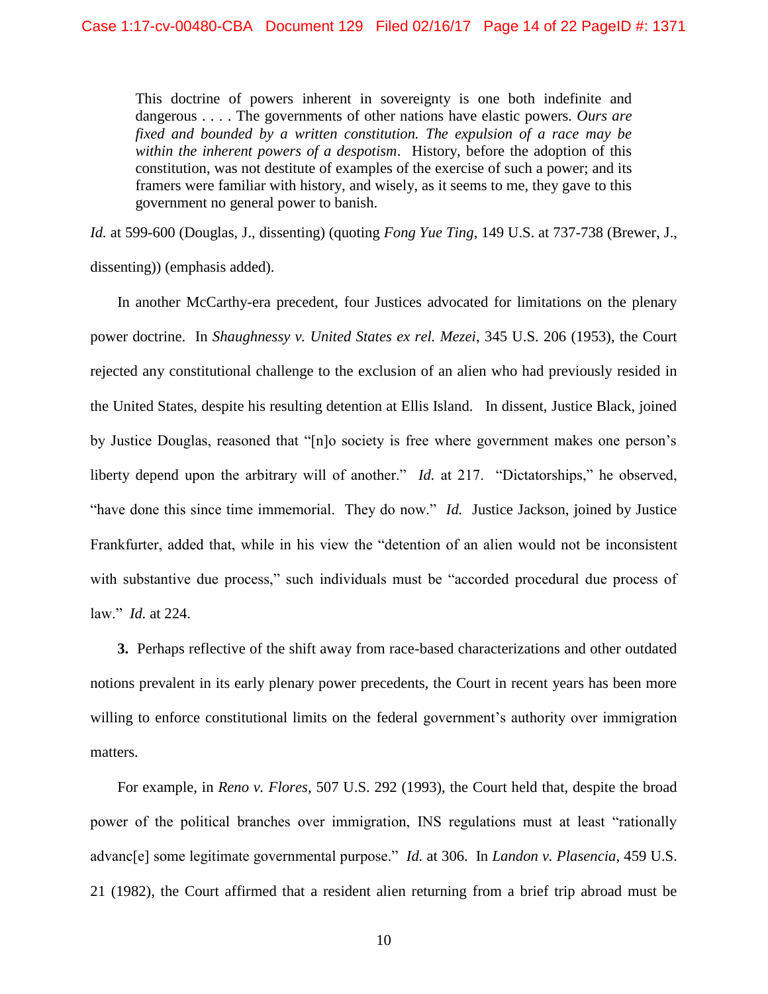This doctrine of powers inherent in sovereignty is one both indefinite and dangerous . . . . The governments of other nations have elastic powers. *Ours are fixed and bounded by a written constitution. The expulsion of a race may be within the inherent powers of a despotism*. History, before the adoption of this constitution, was not destitute of examples of the exercise of such a power; and its framers were familiar with history, and wisely, as it seems to me, they gave to this government no general power to banish.

*Id.* at 599-600 (Douglas, J., dissenting) (quoting *Fong Yue Ting*, 149 U.S. at 737-738 (Brewer, J., dissenting)) (emphasis added).

<span id="page-13-1"></span>In another McCarthy-era precedent, four Justices advocated for limitations on the plenary power doctrine. In *Shaughnessy v. United States ex rel. Mezei*, 345 U.S. 206 (1953), the Court rejected any constitutional challenge to the exclusion of an alien who had previously resided in the United States, despite his resulting detention at Ellis Island. In dissent, Justice Black, joined by Justice Douglas, reasoned that "[n]o society is free where government makes one person's liberty depend upon the arbitrary will of another." *Id.* at 217. "Dictatorships," he observed, "have done this since time immemorial. They do now." *Id.* Justice Jackson, joined by Justice Frankfurter, added that, while in his view the "detention of an alien would not be inconsistent with substantive due process," such individuals must be "accorded procedural due process of law." *Id.* at 224.

**3.** Perhaps reflective of the shift away from race-based characterizations and other outdated notions prevalent in its early plenary power precedents, the Court in recent years has been more willing to enforce constitutional limits on the federal government's authority over immigration matters.

<span id="page-13-0"></span>For example, in *Reno v. Flores*, 507 U.S. 292 (1993), the Court held that, despite the broad power of the political branches over immigration, INS regulations must at least "rationally advanc[e] some legitimate governmental purpose." *Id.* at 306. In *Landon v. Plasencia*, 459 U.S. 21 (1982), the Court affirmed that a resident alien returning from a brief trip abroad must be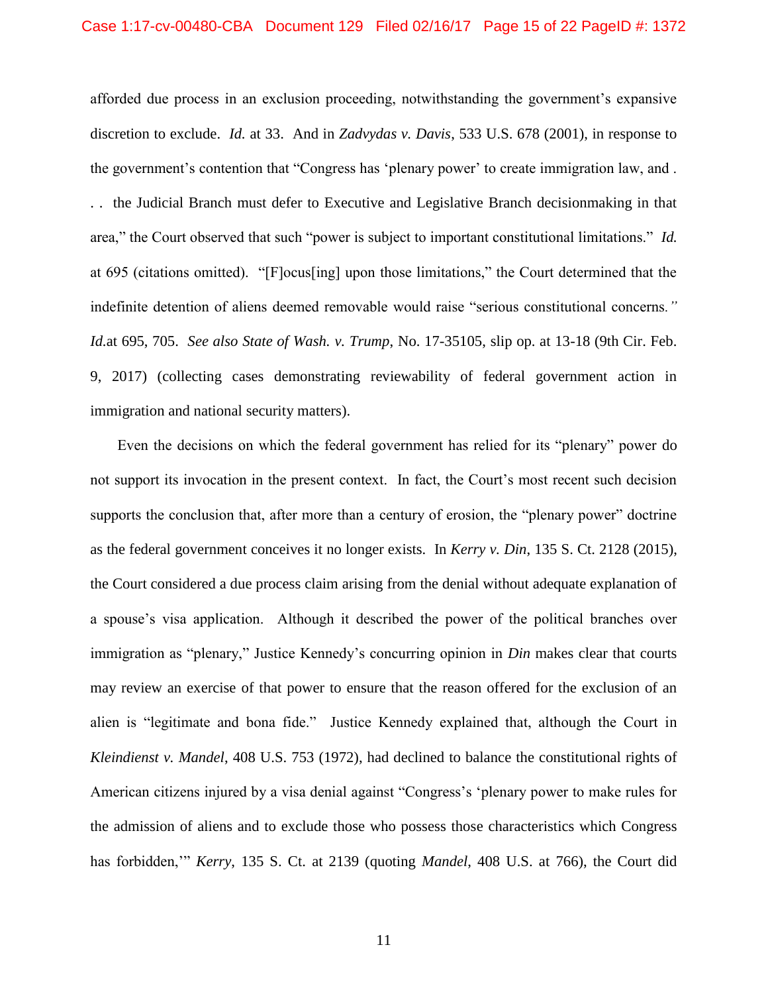<span id="page-14-1"></span>afforded due process in an exclusion proceeding, notwithstanding the government's expansive discretion to exclude. *Id.* at 33. And in *Zadvydas v. Davis*, 533 U.S. 678 (2001), in response to the government's contention that "Congress has 'plenary power' to create immigration law, and . . . the Judicial Branch must defer to Executive and Legislative Branch decisionmaking in that area," the Court observed that such "power is subject to important constitutional limitations." *Id.*  at 695 (citations omitted). "[F]ocus[ing] upon those limitations," the Court determined that the indefinite detention of aliens deemed removable would raise "serious constitutional concerns*." Id.*at 695, 705. *See also State of Wash. v. Trump*, No. 17-35105, slip op. at 13-18 (9th Cir. Feb. 9, 2017) (collecting cases demonstrating reviewability of federal government action in immigration and national security matters).

<span id="page-14-0"></span>Even the decisions on which the federal government has relied for its "plenary" power do not support its invocation in the present context. In fact, the Court's most recent such decision supports the conclusion that, after more than a century of erosion, the "plenary power" doctrine as the federal government conceives it no longer exists. In *Kerry v. Din*, 135 S. Ct. 2128 (2015), the Court considered a due process claim arising from the denial without adequate explanation of a spouse's visa application. Although it described the power of the political branches over immigration as "plenary," Justice Kennedy's concurring opinion in *Din* makes clear that courts may review an exercise of that power to ensure that the reason offered for the exclusion of an alien is "legitimate and bona fide." Justice Kennedy explained that, although the Court in *Kleindienst v. Mandel*, 408 U.S. 753 (1972), had declined to balance the constitutional rights of American citizens injured by a visa denial against "Congress's 'plenary power to make rules for the admission of aliens and to exclude those who possess those characteristics which Congress has forbidden,'" *Kerry*, 135 S. Ct. at 2139 (quoting *Mandel*, 408 U.S. at 766), the Court did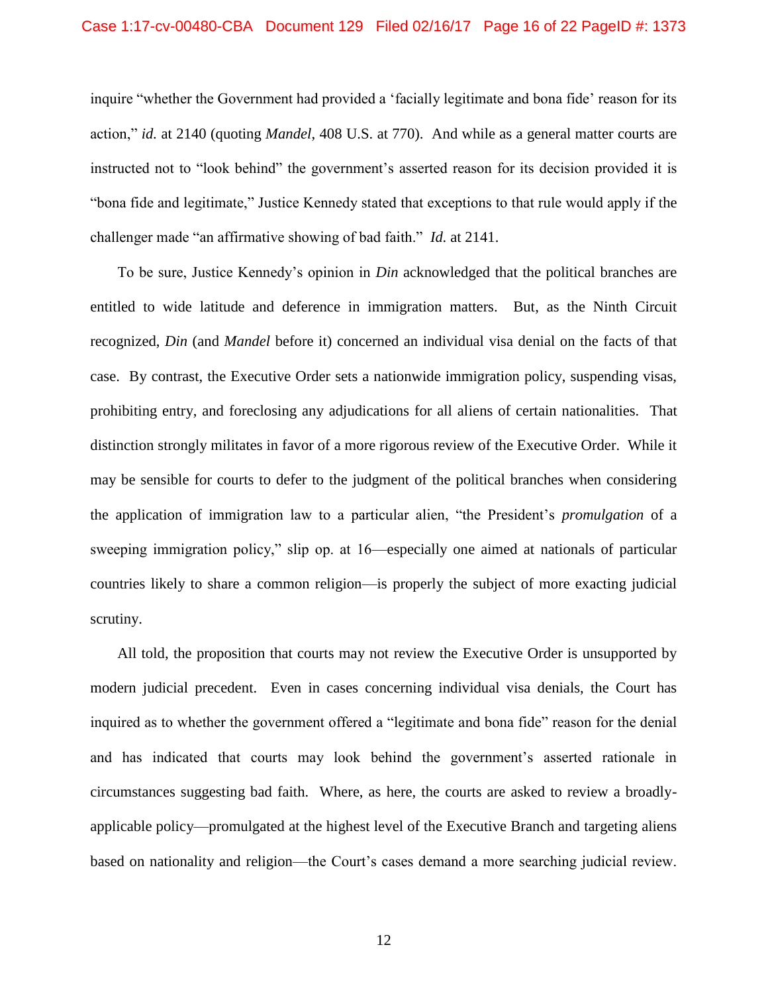#### Case 1:17-cv-00480-CBA Document 129 Filed 02/16/17 Page 16 of 22 PageID #: 1373

inquire "whether the Government had provided a 'facially legitimate and bona fide' reason for its action," *id.* at 2140 (quoting *Mandel*, 408 U.S. at 770). And while as a general matter courts are instructed not to "look behind" the government's asserted reason for its decision provided it is "bona fide and legitimate," Justice Kennedy stated that exceptions to that rule would apply if the challenger made "an affirmative showing of bad faith." *Id.* at 2141.

To be sure, Justice Kennedy's opinion in *Din* acknowledged that the political branches are entitled to wide latitude and deference in immigration matters. But, as the Ninth Circuit recognized, *Din* (and *Mandel* before it) concerned an individual visa denial on the facts of that case. By contrast, the Executive Order sets a nationwide immigration policy, suspending visas, prohibiting entry, and foreclosing any adjudications for all aliens of certain nationalities. That distinction strongly militates in favor of a more rigorous review of the Executive Order. While it may be sensible for courts to defer to the judgment of the political branches when considering the application of immigration law to a particular alien, "the President's *promulgation* of a sweeping immigration policy," slip op. at 16—especially one aimed at nationals of particular countries likely to share a common religion—is properly the subject of more exacting judicial scrutiny.

All told, the proposition that courts may not review the Executive Order is unsupported by modern judicial precedent. Even in cases concerning individual visa denials, the Court has inquired as to whether the government offered a "legitimate and bona fide" reason for the denial and has indicated that courts may look behind the government's asserted rationale in circumstances suggesting bad faith. Where, as here, the courts are asked to review a broadlyapplicable policy—promulgated at the highest level of the Executive Branch and targeting aliens based on nationality and religion—the Court's cases demand a more searching judicial review.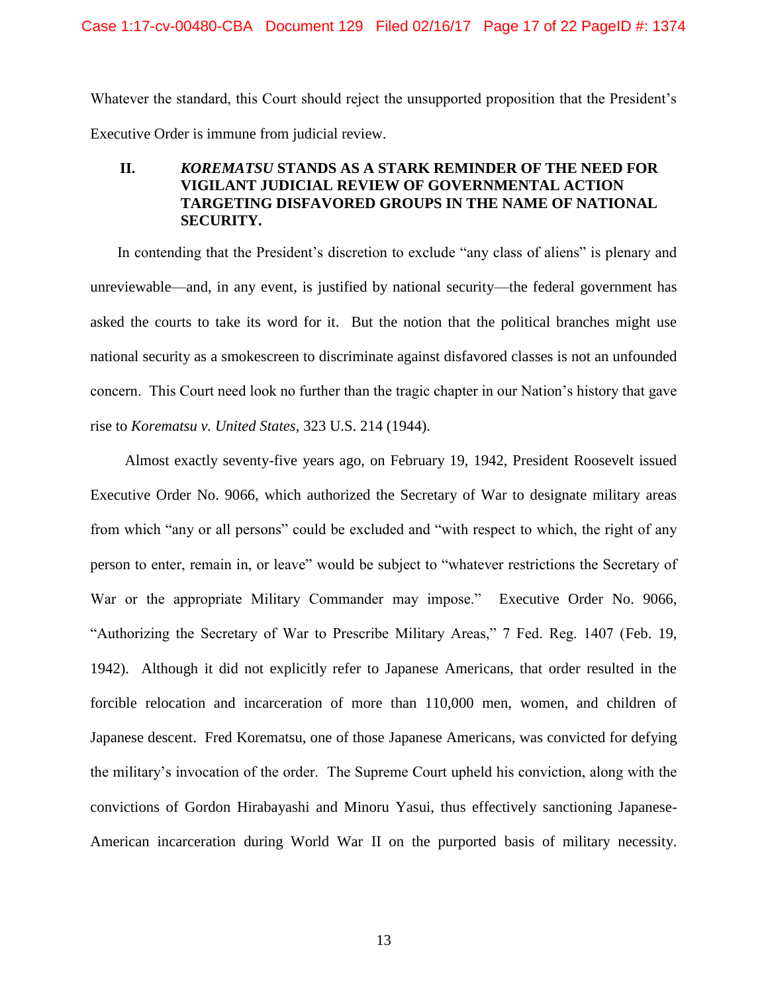Whatever the standard, this Court should reject the unsupported proposition that the President's Executive Order is immune from judicial review.

## <span id="page-16-0"></span>**II.** *KOREMATSU* **STANDS AS A STARK REMINDER OF THE NEED FOR VIGILANT JUDICIAL REVIEW OF GOVERNMENTAL ACTION TARGETING DISFAVORED GROUPS IN THE NAME OF NATIONAL SECURITY.**

In contending that the President's discretion to exclude "any class of aliens" is plenary and unreviewable—and, in any event, is justified by national security—the federal government has asked the courts to take its word for it. But the notion that the political branches might use national security as a smokescreen to discriminate against disfavored classes is not an unfounded concern. This Court need look no further than the tragic chapter in our Nation's history that gave rise to *Korematsu v. United States*, 323 U.S. 214 (1944).

<span id="page-16-1"></span> Almost exactly seventy-five years ago, on February 19, 1942, President Roosevelt issued Executive Order No. 9066, which authorized the Secretary of War to designate military areas from which "any or all persons" could be excluded and "with respect to which, the right of any person to enter, remain in, or leave" would be subject to "whatever restrictions the Secretary of War or the appropriate Military Commander may impose." Executive Order No. 9066, "Authorizing the Secretary of War to Prescribe Military Areas," 7 Fed. Reg. 1407 (Feb. 19, 1942). Although it did not explicitly refer to Japanese Americans, that order resulted in the forcible relocation and incarceration of more than 110,000 men, women, and children of Japanese descent. Fred Korematsu, one of those Japanese Americans, was convicted for defying the military's invocation of the order. The Supreme Court upheld his conviction, along with the convictions of Gordon Hirabayashi and Minoru Yasui, thus effectively sanctioning Japanese-American incarceration during World War II on the purported basis of military necessity.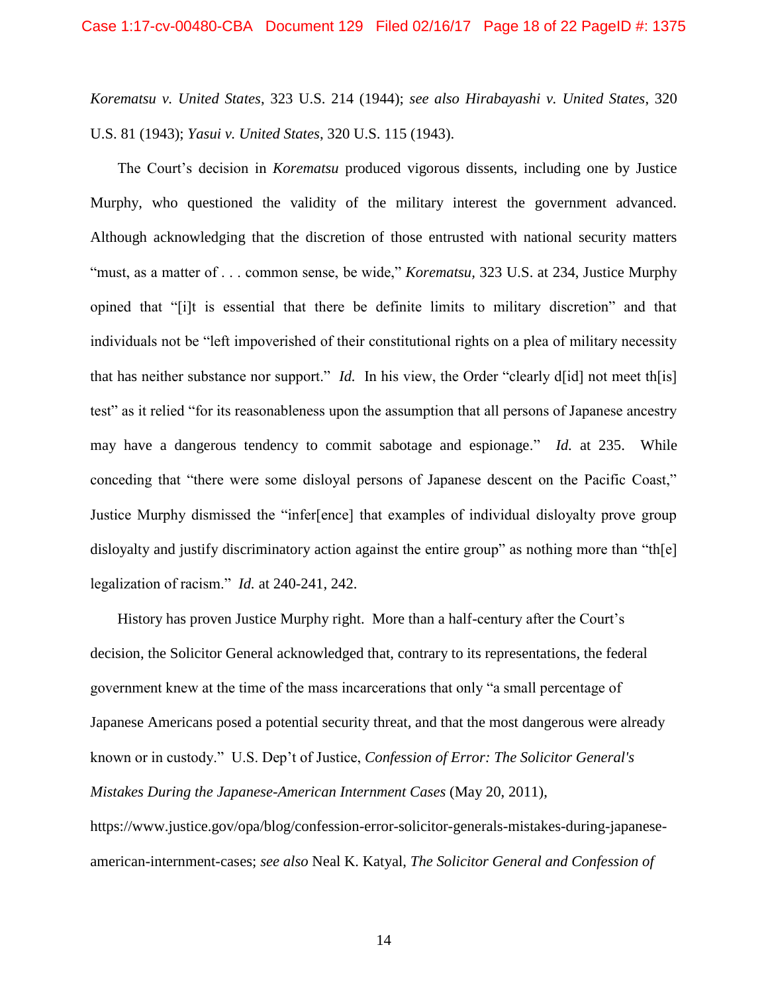*Korematsu v. United States*, 323 U.S. 214 (1944); *see also Hirabayashi v. United States*, 320 U.S. 81 (1943); *Yasui v. United States*, 320 U.S. 115 (1943).

The Court's decision in *Korematsu* produced vigorous dissents, including one by Justice Murphy, who questioned the validity of the military interest the government advanced. Although acknowledging that the discretion of those entrusted with national security matters "must, as a matter of . . . common sense, be wide," *Korematsu,* 323 U.S. at 234, Justice Murphy opined that "[i]t is essential that there be definite limits to military discretion" and that individuals not be "left impoverished of their constitutional rights on a plea of military necessity that has neither substance nor support." *Id.* In his view, the Order "clearly d[id] not meet th[is] test" as it relied "for its reasonableness upon the assumption that all persons of Japanese ancestry may have a dangerous tendency to commit sabotage and espionage." *Id.* at 235.While conceding that "there were some disloyal persons of Japanese descent on the Pacific Coast," Justice Murphy dismissed the "infer[ence] that examples of individual disloyalty prove group disloyalty and justify discriminatory action against the entire group" as nothing more than "the legalization of racism." *Id.* at 240-241, 242.

History has proven Justice Murphy right. More than a half-century after the Court's decision, the Solicitor General acknowledged that, contrary to its representations, the federal government knew at the time of the mass incarcerations that only "a small percentage of Japanese Americans posed a potential security threat, and that the most dangerous were already known or in custody." U.S. Dep't of Justice, *Confession of Error: The Solicitor General's Mistakes During the Japanese-American Internment Cases* (May 20, 2011),

<span id="page-17-1"></span><span id="page-17-0"></span>https://www.justice.gov/opa/blog/confession-error-solicitor-generals-mistakes-during-japaneseamerican-internment-cases; *see also* Neal K. Katyal, *The Solicitor General and Confession of*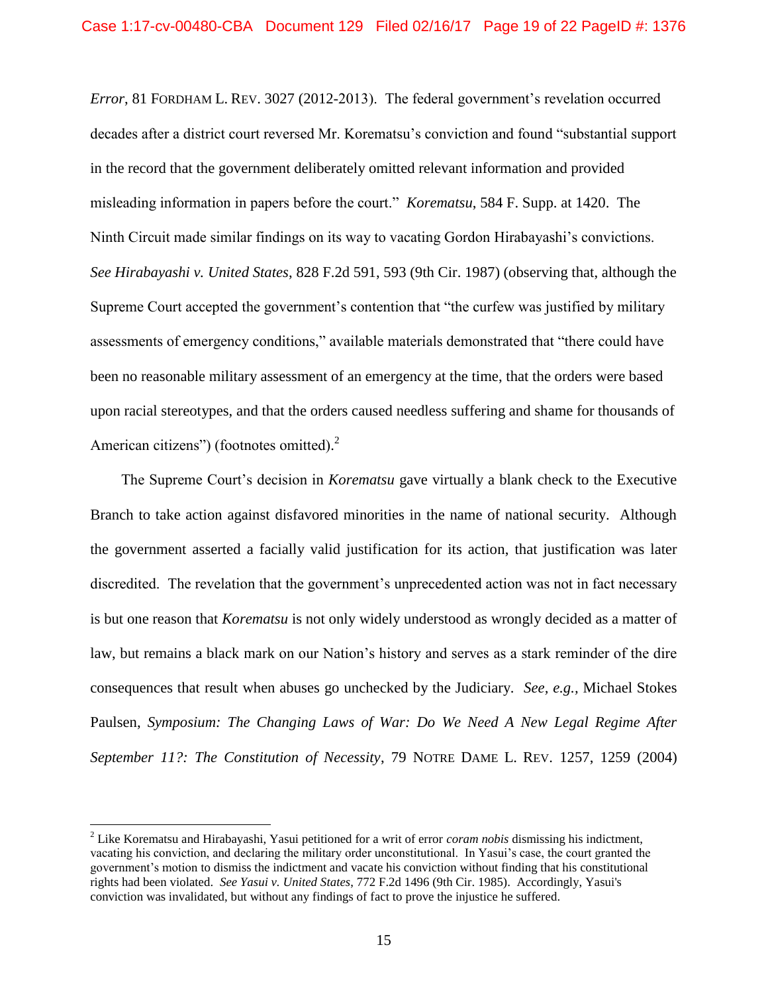*Error*, 81 FORDHAM L. REV. 3027 (2012-2013). The federal government's revelation occurred decades after a district court reversed Mr. Korematsu's conviction and found "substantial support in the record that the government deliberately omitted relevant information and provided misleading information in papers before the court." *Korematsu*, 584 F. Supp. at 1420. The Ninth Circuit made similar findings on its way to vacating Gordon Hirabayashi's convictions. *See Hirabayashi v. United States*, 828 F.2d 591, 593 (9th Cir. 1987) (observing that, although the Supreme Court accepted the government's contention that "the curfew was justified by military assessments of emergency conditions," available materials demonstrated that "there could have been no reasonable military assessment of an emergency at the time, that the orders were based upon racial stereotypes, and that the orders caused needless suffering and shame for thousands of American citizens") (footnotes omitted).<sup>2</sup>

The Supreme Court's decision in *Korematsu* gave virtually a blank check to the Executive Branch to take action against disfavored minorities in the name of national security. Although the government asserted a facially valid justification for its action, that justification was later discredited. The revelation that the government's unprecedented action was not in fact necessary is but one reason that *Korematsu* is not only widely understood as wrongly decided as a matter of law, but remains a black mark on our Nation's history and serves as a stark reminder of the dire consequences that result when abuses go unchecked by the Judiciary. *See, e.g.,* Michael Stokes Paulsen, *Symposium: The Changing Laws of War: Do We Need A New Legal Regime After September 11?: The Constitution of Necessity*, 79 NOTRE DAME L. REV. 1257, 1259 (2004)

<span id="page-18-0"></span> $\overline{a}$ 

<sup>2</sup> Like Korematsu and Hirabayashi, Yasui petitioned for a writ of error *coram nobis* dismissing his indictment, vacating his conviction, and declaring the military order unconstitutional. In Yasui's case, the court granted the government's motion to dismiss the indictment and vacate his conviction without finding that his constitutional rights had been violated. *See Yasui v. United States*, 772 F.2d 1496 (9th Cir. 1985). Accordingly, Yasui's conviction was invalidated, but without any findings of fact to prove the injustice he suffered.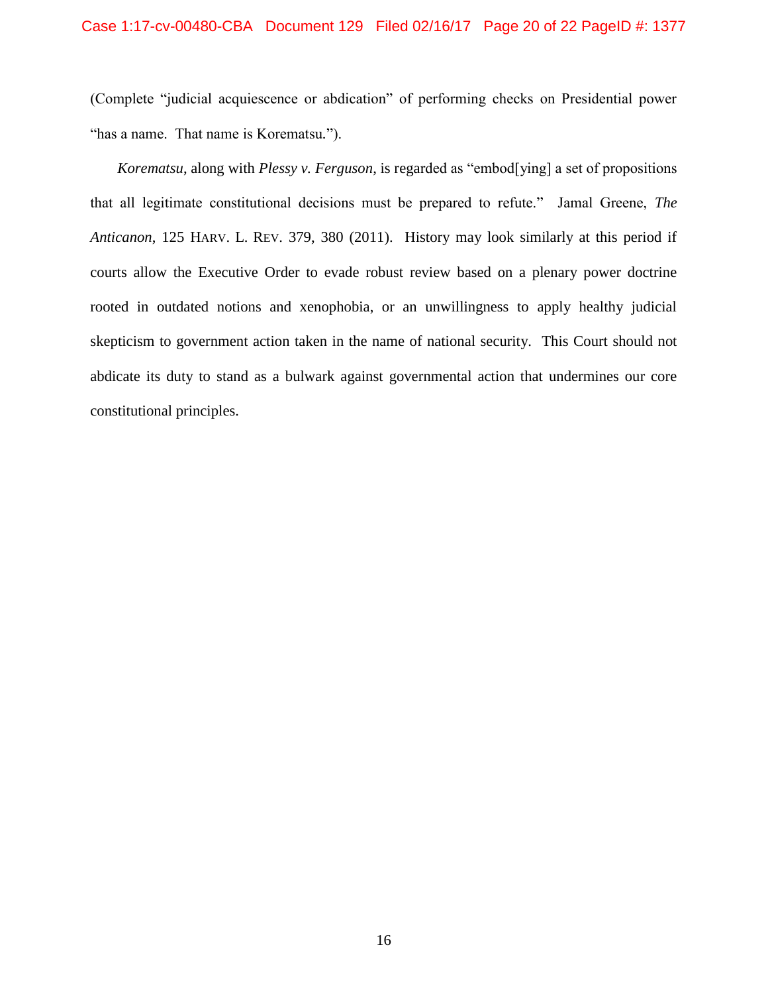#### Case 1:17-cv-00480-CBA Document 129 Filed 02/16/17 Page 20 of 22 PageID #: 1377

(Complete "judicial acquiescence or abdication" of performing checks on Presidential power "has a name. That name is Korematsu*.*").

<span id="page-19-1"></span><span id="page-19-0"></span>*Korematsu*, along with *Plessy v. Ferguson*, is regarded as "embod[ying] a set of propositions that all legitimate constitutional decisions must be prepared to refute." Jamal Greene, *The Anticanon*, 125 HARV. L. REV. 379, 380 (2011). History may look similarly at this period if courts allow the Executive Order to evade robust review based on a plenary power doctrine rooted in outdated notions and xenophobia, or an unwillingness to apply healthy judicial skepticism to government action taken in the name of national security. This Court should not abdicate its duty to stand as a bulwark against governmental action that undermines our core constitutional principles.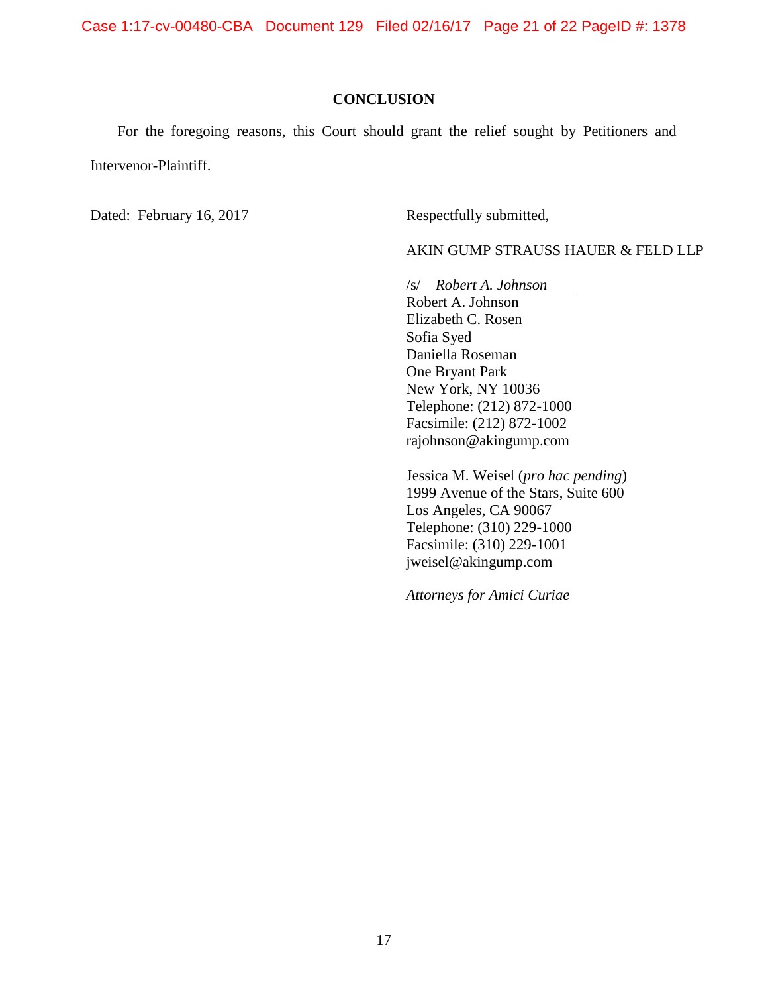Case 1:17-cv-00480-CBA Document 129 Filed 02/16/17 Page 21 of 22 PageID #: 1378

#### **CONCLUSION**

<span id="page-20-0"></span>For the foregoing reasons, this Court should grant the relief sought by Petitioners and Intervenor-Plaintiff.

Dated: February 16, 2017 Respectfully submitted,

AKIN GUMP STRAUSS HAUER & FELD LLP

/s/ *Robert A. Johnson*  Robert A. Johnson Elizabeth C. Rosen Sofia Syed Daniella Roseman One Bryant Park New York, NY 10036 Telephone: (212) 872-1000 Facsimile: (212) 872-1002 rajohnson@akingump.com

Jessica M. Weisel (*pro hac pending*) 1999 Avenue of the Stars, Suite 600 Los Angeles, CA 90067 Telephone: (310) 229-1000 Facsimile: (310) 229-1001 jweisel@akingump.com

*Attorneys for Amici Curiae*